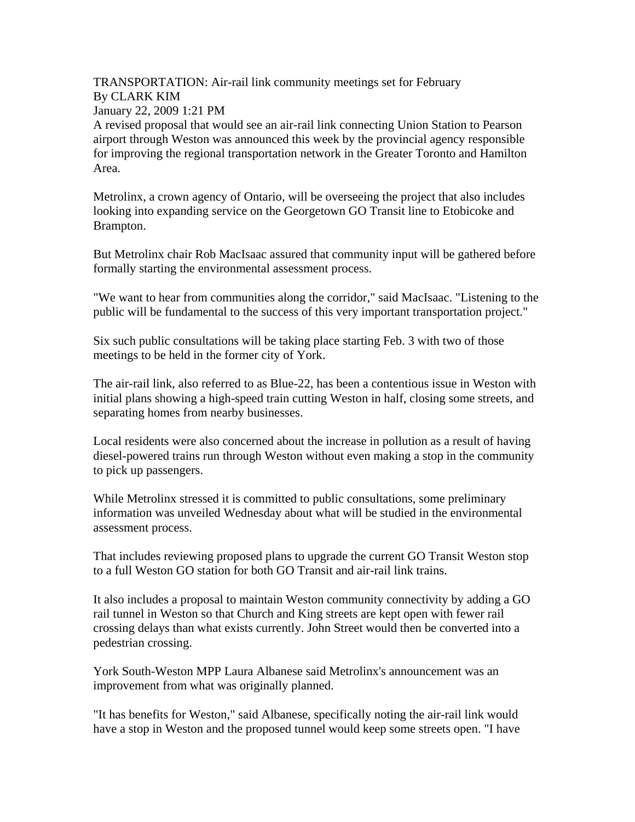TRANSPORTATION: Air-rail link community meetings set for February By CLARK KIM January 22, 2009 1:21 PM

A revised proposal that would see an air-rail link connecting Union Station to Pearson airport through Weston was announced this week by the provincial agency responsible for improving the regional transportation network in the Greater Toronto and Hamilton Area.

Metrolinx, a crown agency of Ontario, will be overseeing the project that also includes looking into expanding service on the Georgetown GO Transit line to Etobicoke and Brampton.

But Metrolinx chair Rob MacIsaac assured that community input will be gathered before formally starting the environmental assessment process.

"We want to hear from communities along the corridor," said MacIsaac. "Listening to the public will be fundamental to the success of this very important transportation project."

Six such public consultations will be taking place starting Feb. 3 with two of those meetings to be held in the former city of York.

The air-rail link, also referred to as Blue-22, has been a contentious issue in Weston with initial plans showing a high-speed train cutting Weston in half, closing some streets, and separating homes from nearby businesses.

Local residents were also concerned about the increase in pollution as a result of having diesel-powered trains run through Weston without even making a stop in the community to pick up passengers.

While Metrolinx stressed it is committed to public consultations, some preliminary information was unveiled Wednesday about what will be studied in the environmental assessment process.

That includes reviewing proposed plans to upgrade the current GO Transit Weston stop to a full Weston GO station for both GO Transit and air-rail link trains.

It also includes a proposal to maintain Weston community connectivity by adding a GO rail tunnel in Weston so that Church and King streets are kept open with fewer rail crossing delays than what exists currently. John Street would then be converted into a pedestrian crossing.

York South-Weston MPP Laura Albanese said Metrolinx's announcement was an improvement from what was originally planned.

"It has benefits for Weston," said Albanese, specifically noting the air-rail link would have a stop in Weston and the proposed tunnel would keep some streets open. "I have